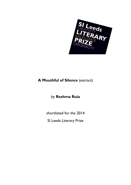

## **A Mouthful of Silence** (extract)

## by **Reshma Ruia**

shortlisted for the 2014

SI Leeds Literary Prize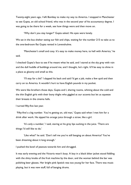Twenty-eight years ago, I left Bombay to make my way to America. I stopped in Manchester to see Gupta, an old school friend, who was in the second year of his accountancy degree. I was going to be there for a week, see how things were and then move on.

'Why don't you stay longer?' Gupta asked. His eyes were lonely.

We sat in the bus shelter eating our fish and chips, waiting for the number 215 to take us to the one-bedroom flat Gupta rented in Levenshulme.

'Manchester's small and cosy. It's easy to make money here, to hell with America,' he said.

I checked Gupta's face to see if he meant what he said, and I stared at the sky grey with rain and the dull huddle of buildings around me, and I thought, he's right. It'll be easy to shine in a place as gloomy and small as this.

'I'll stay for a bit!' I slapped his back and said I'd get a job, make a few quid and then carry on to America. It wouldn't hurt to have English pounds in my pocket.

We were like brothers those days, Gupta and I, sharing rooms, whining about the cold and the thin English girls with their bony thighs who giggled at our accents but let us squeeze their breasts in the cinema halls.

I turned fifty-five last year.

'Fifty-five's a big number. You're getting on, old man,' Gupta said when I met him for a drink after work. He sipped his orange juice through a straw, like a girl.

'It's only a number,' I said, staring at his grey lips sucking in the juice. 'There are things I'd still like to do.'

'Like what?' he said. 'Don't tell me you're still banging on about America? You've been dreaming about it long enough.'

I pushed the bowl of peanuts towards him and shrugged.

It was early evening and the Victoria wasn't busy. A boy in a black biker jacket stood fiddling with the shiny knobs of the fruit machine by the door, and the woman behind the bar was polishing beer glasses. Her bright pink lipstick was too young for her face. There was music playing, but it was new stuff, full of banging drums.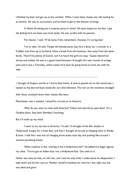I finished my beer and got up to buy another. When I came back, Gupta was still waiting for an answer. He was an accountant, and he liked to get to the bottom of things.

'Is Geeta throwing you a surprise party or what?' His eyes stayed on my face. I got the feeling he'd not been out much lately. He was careful with his pennies.

'Fat chance,' I said. 'I'll be lucky if she remembers. Anyway, it's no big deal.'

'I've an idea,' he said. 'Forget the bloody party. Just hire a fancy car, a Lincoln or a Cadillac and drive up to Scotland. Have a break from the business. Get away from the damn family. There'll be plenty of Scotch, and I've heard the girls are easy.' Gupta cleared his throat and smiled. He was in a good mood because I'd bought him two rounds of orange juice and it was a Thursday, which meant he'd soon be going home to have sex with his wife.

.............................................................................................................................................

I thought of Gupta's words as I drove back home. A hearse passed me on the motorway. I looked at the blurred faces inside the cars that followed. The rain on the windows smudged

their faces, streaked down their cheeks like tears.

Manchester was a mistake. I should've carried on to America

'Why do you want to mess with America?' Father had said thirty years back. 'It's a Godless place. Stay back. Bombay's booming.'

But I'd made up my mind.

'I want to try my luck in America,' I'd said. I'd thought of the film studios in Hollywood, hungry for a fresh face, and then I thought of my job as shipping clerk in Wadia & Sons. I told him I was sick of changing three buses each day and pushing files around. I wanted something better.

'What madness is this, wanting to be a Hollywood star?' He jabbed his finger against my chest. 'You've got an Indian face, not a Hollywood face. Get used to it.'

Father was sixty by then, an old man, and I was his only child. I understood his desperation. I kept quiet and let him rant on. Mother would've backed me, told me I was right, but she was dead and gone.